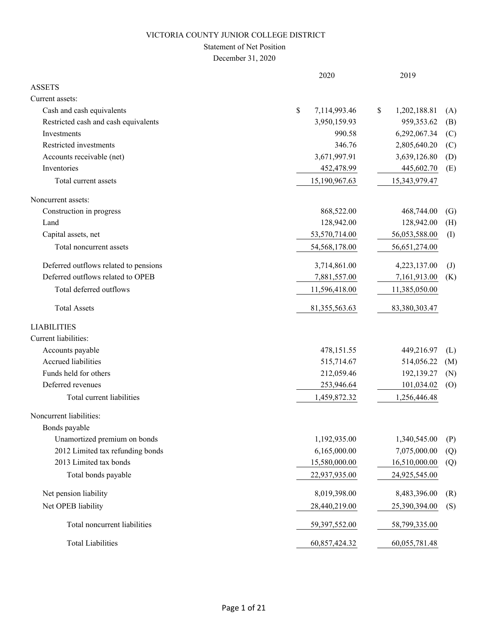### Statement of Net Position

December 31, 2020

|                                       | 2020               | 2019                         |                   |
|---------------------------------------|--------------------|------------------------------|-------------------|
| <b>ASSETS</b>                         |                    |                              |                   |
| Current assets:                       |                    |                              |                   |
| Cash and cash equivalents             | \$<br>7,114,993.46 | $\mathbb{S}$<br>1,202,188.81 | (A)               |
| Restricted cash and cash equivalents  | 3,950,159.93       | 959,353.62                   | (B)               |
| Investments                           | 990.58             | 6,292,067.34                 | (C)               |
| Restricted investments                | 346.76             | 2,805,640.20                 | (C)               |
| Accounts receivable (net)             | 3,671,997.91       | 3,639,126.80                 | (D)               |
| Inventories                           | 452,478.99         | 445,602.70                   | (E)               |
| Total current assets                  | 15,190,967.63      | 15,343,979.47                |                   |
| Noncurrent assets:                    |                    |                              |                   |
| Construction in progress              | 868,522.00         | 468,744.00                   | $\left( G\right)$ |
| Land                                  | 128,942.00         | 128,942.00                   | (H)               |
| Capital assets, net                   | 53,570,714.00      | 56,053,588.00                | (I)               |
| Total noncurrent assets               | 54,568,178.00      | 56,651,274.00                |                   |
| Deferred outflows related to pensions | 3,714,861.00       | 4,223,137.00                 | $\left( J\right)$ |
| Deferred outflows related to OPEB     | 7,881,557.00       | 7,161,913.00                 | (K)               |
| Total deferred outflows               | 11,596,418.00      | 11,385,050.00                |                   |
| <b>Total Assets</b>                   | 81,355,563.63      | 83,380,303.47                |                   |
| <b>LIABILITIES</b>                    |                    |                              |                   |
| Current liabilities:                  |                    |                              |                   |
| Accounts payable                      | 478,151.55         | 449,216.97                   | (L)               |
| Accrued liabilities                   | 515,714.67         | 514,056.22                   | (M)               |
| Funds held for others                 | 212,059.46         | 192,139.27                   | (N)               |
| Deferred revenues                     | 253,946.64         | 101,034.02                   | (0)               |
| Total current liabilities             | 1,459,872.32       | 1,256,446.48                 |                   |
| Noncurrent liabilities:               |                    |                              |                   |
| Bonds payable                         |                    |                              |                   |
| Unamortized premium on bonds          | 1,192,935.00       | 1,340,545.00                 | (P)               |
| 2012 Limited tax refunding bonds      | 6,165,000.00       | 7,075,000.00                 | (Q)               |
| 2013 Limited tax bonds                | 15,580,000.00      | 16,510,000.00                | (Q)               |
| Total bonds payable                   | 22,937,935.00      | 24,925,545.00                |                   |
| Net pension liability                 | 8,019,398.00       | 8,483,396.00                 | (R)               |
| Net OPEB liability                    | 28,440,219.00      | 25,390,394.00                | (S)               |
| Total noncurrent liabilities          | 59,397,552.00      | 58,799,335.00                |                   |
| <b>Total Liabilities</b>              | 60,857,424.32      | 60,055,781.48                |                   |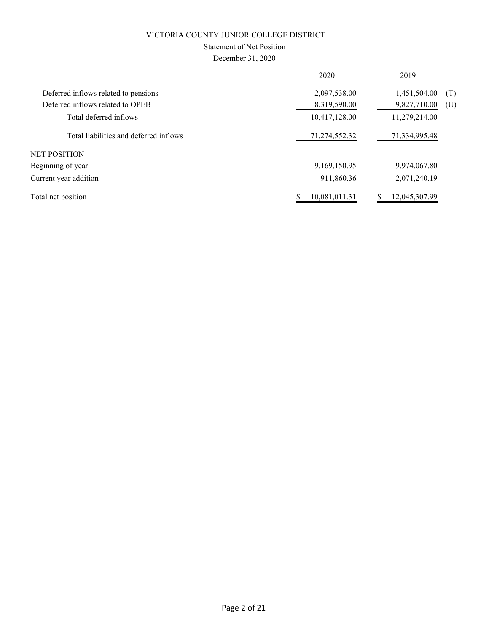### Statement of Net Position

December 31, 2020

|                                        | 2020          | 2019          |     |
|----------------------------------------|---------------|---------------|-----|
| Deferred inflows related to pensions   | 2,097,538.00  | 1,451,504.00  | (T) |
| Deferred inflows related to OPEB       | 8,319,590.00  | 9,827,710.00  | (U) |
| Total deferred inflows                 | 10,417,128.00 | 11,279,214.00 |     |
| Total liabilities and deferred inflows | 71,274,552.32 | 71,334,995.48 |     |
| <b>NET POSITION</b>                    |               |               |     |
| Beginning of year                      | 9,169,150.95  | 9,974,067.80  |     |
| Current year addition                  | 911,860.36    | 2,071,240.19  |     |
| Total net position                     | 10,081,011.31 | 12,045,307.99 |     |
|                                        |               |               |     |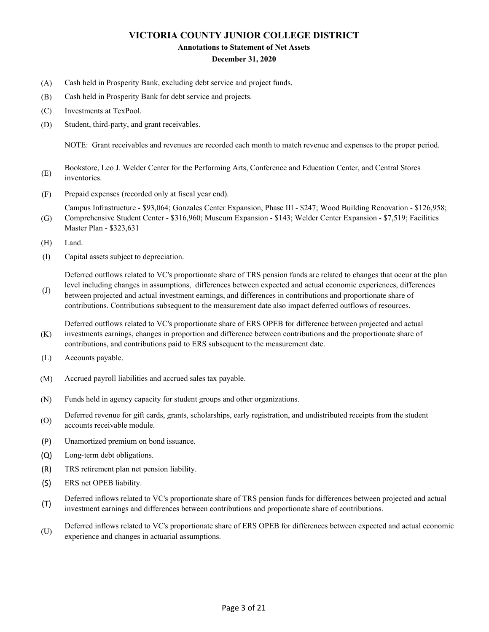#### **Annotations to Statement of Net Assets**

#### **December 31, 2020**

- (A) Cash held in Prosperity Bank, excluding debt service and project funds.
- (B) Cash held in Prosperity Bank for debt service and projects.
- (C) Investments at TexPool.
- (D) Student, third-party, and grant receivables.

NOTE: Grant receivables and revenues are recorded each month to match revenue and expenses to the proper period.

- (E) Bookstore, Leo J. Welder Center for the Performing Arts, Conference and Education Center, and Central Stores inventories.
- (F) Prepaid expenses (recorded only at fiscal year end).

(G) Campus Infrastructure - \$93,064; Gonzales Center Expansion, Phase III - \$247; Wood Building Renovation - \$126,958; Comprehensive Student Center - \$316,960; Museum Expansion - \$143; Welder Center Expansion - \$7,519; Facilities

- Master Plan \$323,631
- (H) Land.

(J)

(I) Capital assets subject to depreciation.

Deferred outflows related to VC's proportionate share of TRS pension funds are related to changes that occur at the plan level including changes in assumptions, differences between expected and actual economic experiences, differences between projected and actual investment earnings, and differences in contributions and proportionate share of

contributions. Contributions subsequent to the measurement date also impact deferred outflows of resources.

(K) Deferred outflows related to VC's proportionate share of ERS OPEB for difference between projected and actual investments earnings, changes in proportion and difference between contributions and the proportionate share of contributions, and contributions paid to ERS subsequent to the measurement date.

- (L) Accounts payable.
- (M) Accrued payroll liabilities and accrued sales tax payable.
- (N) Funds held in agency capacity for student groups and other organizations.
- (O) Deferred revenue for gift cards, grants, scholarships, early registration, and undistributed receipts from the student accounts receivable module.
- (P) Unamortized premium on bond issuance.
- (Q) Long-term debt obligations.
- (R) TRS retirement plan net pension liability.
- (S) ERS net OPEB liability.
- (T) Deferred inflows related to VC's proportionate share of TRS pension funds for differences between projected and actual investment earnings and differences between contributions and proportionate share of contributions.
- (U) Deferred inflows related to VC's proportionate share of ERS OPEB for differences between expected and actual economic experience and changes in actuarial assumptions.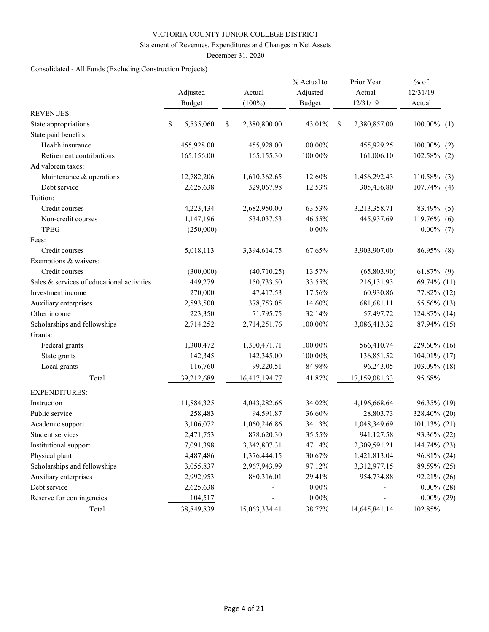#### Statement of Revenues, Expenditures and Changes in Net Assets

December 31, 2020

### Consolidated - All Funds (Excluding Construction Projects)

|                                            |                 |                    | % Actual to   |   | Prior Year    | $%$ of         |
|--------------------------------------------|-----------------|--------------------|---------------|---|---------------|----------------|
|                                            | Adjusted        | Actual             | Adjusted      |   | Actual        | 12/31/19       |
|                                            | <b>Budget</b>   | $(100\%)$          | <b>Budget</b> |   | 12/31/19      | Actual         |
| <b>REVENUES:</b>                           |                 |                    |               |   |               |                |
| State appropriations                       | \$<br>5,535,060 | \$<br>2,380,800.00 | 43.01%        | S | 2,380,857.00  | $100.00\%$ (1) |
| State paid benefits                        |                 |                    |               |   |               |                |
| Health insurance                           | 455,928.00      | 455,928.00         | 100.00%       |   | 455,929.25    | 100.00%<br>(2) |
| Retirement contributions                   | 165,156.00      | 165,155.30         | 100.00%       |   | 161,006.10    | 102.58% (2)    |
| Ad valorem taxes:                          |                 |                    |               |   |               |                |
| Maintenance & operations                   | 12,782,206      | 1,610,362.65       | 12.60%        |   | 1,456,292.43  | $110.58\%$ (3) |
| Debt service                               | 2,625,638       | 329,067.98         | 12.53%        |   | 305,436.80    | $107.74\%$ (4) |
| Tuition:                                   |                 |                    |               |   |               |                |
| Credit courses                             | 4,223,434       | 2,682,950.00       | 63.53%        |   | 3,213,358.71  | 83.49% (5)     |
| Non-credit courses                         | 1,147,196       | 534,037.53         | 46.55%        |   | 445,937.69    | 119.76%<br>(6) |
| <b>TPEG</b>                                | (250,000)       |                    | $0.00\%$      |   |               | $0.00\%$ (7)   |
| Fees:                                      |                 |                    |               |   |               |                |
| Credit courses                             | 5,018,113       | 3,394,614.75       | 67.65%        |   | 3,903,907.00  | 86.95% (8)     |
| Exemptions & waivers:                      |                 |                    |               |   |               |                |
| Credit courses                             | (300,000)       | (40,710.25)        | 13.57%        |   | (65,803.90)   | 61.87% (9)     |
| Sales & services of educational activities | 449,279         | 150,733.50         | 33.55%        |   | 216,131.93    | 69.74% (11)    |
| Investment income                          | 270,000         | 47,417.53          | 17.56%        |   | 60,930.86     | 77.82% (12)    |
| Auxiliary enterprises                      | 2,593,500       | 378,753.05         | 14.60%        |   | 681,681.11    | 55.56% (13)    |
| Other income                               | 223,350         | 71,795.75          | 32.14%        |   | 57,497.72     | 124.87% (14)   |
| Scholarships and fellowships               | 2,714,252       | 2,714,251.76       | 100.00%       |   | 3,086,413.32  | 87.94% (15)    |
| Grants:                                    |                 |                    |               |   |               |                |
| Federal grants                             | 1,300,472       | 1,300,471.71       | 100.00%       |   | 566,410.74    | 229.60% (16)   |
| State grants                               | 142,345         | 142,345.00         | 100.00%       |   | 136,851.52    | 104.01% (17)   |
| Local grants                               | 116,760         | 99,220.51          | 84.98%        |   | 96,243.05     | 103.09% (18)   |
| Total                                      | 39,212,689      | 16,417,194.77      | 41.87%        |   | 17,159,081.33 | 95.68%         |
| <b>EXPENDITURES:</b>                       |                 |                    |               |   |               |                |
| Instruction                                | 11,884,325      | 4,043,282.66       | 34.02%        |   | 4,196,668.64  | 96.35% (19)    |
| Public service                             | 258,483         | 94,591.87          | 36.60%        |   | 28,803.73     | 328.40% (20)   |
| Academic support                           | 3,106,072       | 1,060,246.86       | 34.13%        |   | 1,048,349.69  | 101.13% (21)   |
| Student services                           | 2,471,753       | 878,620.30         | 35.55%        |   | 941,127.58    | 93.36% (22)    |
| Institutional support                      | 7,091,398       | 3,342,807.31       | 47.14%        |   | 2,309,591.21  | 144.74% (23)   |
| Physical plant                             | 4,487,486       | 1,376,444.15       | 30.67%        |   | 1,421,813.04  | 96.81% (24)    |
| Scholarships and fellowships               | 3,055,837       | 2,967,943.99       | 97.12%        |   | 3,312,977.15  | 89.59% (25)    |
| Auxiliary enterprises                      | 2,992,953       | 880,316.01         | 29.41%        |   | 954,734.88    | 92.21% (26)    |
| Debt service                               | 2,625,638       |                    | $0.00\%$      |   |               | $0.00\%$ (28)  |
| Reserve for contingencies                  | 104,517         |                    | $0.00\%$      |   | $\equiv$      | $0.00\%$ (29)  |
| Total                                      | 38,849,839      | 15,063,334.41      | 38.77%        |   | 14,645,841.14 | 102.85%        |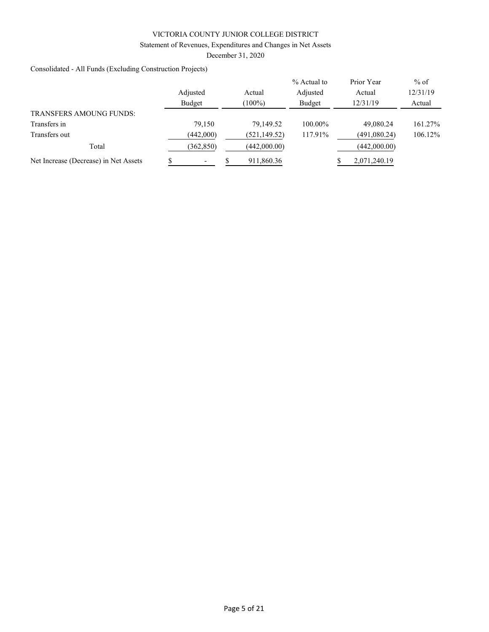#### Statement of Revenues, Expenditures and Changes in Net Assets

December 31, 2020

Consolidated - All Funds (Excluding Construction Projects)

|                                       |            |                     | $%$ Actual to      | Prior Year         | $%$ of             |
|---------------------------------------|------------|---------------------|--------------------|--------------------|--------------------|
|                                       | Adjusted   | Actual<br>$(100\%)$ | Adjusted<br>Budget | Actual<br>12/31/19 | 12/31/19<br>Actual |
|                                       | Budget     |                     |                    |                    |                    |
| <b>TRANSFERS AMOUNG FUNDS:</b>        |            |                     |                    |                    |                    |
| Transfers in                          | 79,150     | 79.149.52           | 100.00%            | 49,080.24          | 161.27%            |
| Transfers out                         | (442,000)  | (521, 149.52)       | 117.91%            | (491,080.24)       | 106.12%            |
| Total                                 | (362, 850) | (442,000.00)        |                    | (442,000.00)       |                    |
| Net Increase (Decrease) in Net Assets |            | 911,860.36          |                    | 2,071,240.19       |                    |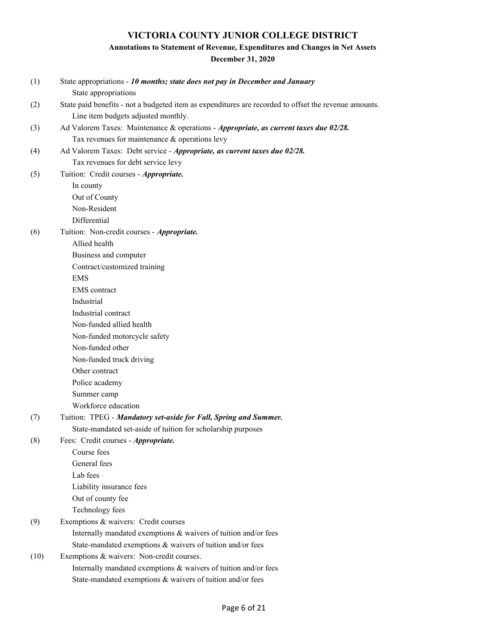# **Annotations to Statement of Revenue, Expenditures and Changes in Net Assets**

**December 31, 2020**

| (1)  | State appropriations - 10 months; state does not pay in December and January                          |
|------|-------------------------------------------------------------------------------------------------------|
|      | State appropriations                                                                                  |
| (2)  | State paid benefits - not a budgeted item as expenditures are recorded to offset the revenue amounts. |
|      | Line item budgets adjusted monthly.                                                                   |
| (3)  | Ad Valorem Taxes: Maintenance & operations - Appropriate, as current taxes due 02/28.                 |
|      | Tax revenues for maintenance $&$ operations levy                                                      |
| (4)  | Ad Valorem Taxes: Debt service - Appropriate, as current taxes due 02/28.                             |
|      | Tax revenues for debt service levy                                                                    |
| (5)  | Tuition: Credit courses - Appropriate.                                                                |
|      | In county                                                                                             |
|      | Out of County                                                                                         |
|      | Non-Resident                                                                                          |
|      | Differential                                                                                          |
| (6)  | Tuition: Non-credit courses - Appropriate.                                                            |
|      | Allied health                                                                                         |
|      | Business and computer                                                                                 |
|      | Contract/customized training                                                                          |
|      | <b>EMS</b>                                                                                            |
|      | <b>EMS</b> contract                                                                                   |
|      | Industrial                                                                                            |
|      | Industrial contract                                                                                   |
|      | Non-funded allied health                                                                              |
|      | Non-funded motorcycle safety                                                                          |
|      | Non-funded other                                                                                      |
|      | Non-funded truck driving                                                                              |
|      | Other contract                                                                                        |
|      | Police academy                                                                                        |
|      | Summer camp                                                                                           |
|      | Workforce education                                                                                   |
| (7)  | Tuition: TPEG - Mandatory set-aside for Fall, Spring and Summer.                                      |
|      | State-mandated set-aside of tuition for scholarship purposes                                          |
| (8)  | Fees: Credit courses - Appropriate.                                                                   |
|      | Course fees                                                                                           |
|      | General fees                                                                                          |
|      | Lab fees                                                                                              |
|      | Liability insurance fees                                                                              |
|      | Out of county fee                                                                                     |
|      | Technology fees                                                                                       |
| (9)  | Exemptions & waivers: Credit courses                                                                  |
|      | Internally mandated exemptions & waivers of tuition and/or fees                                       |
|      | State-mandated exemptions & waivers of tuition and/or fees                                            |
| (10) | Exemptions & waivers: Non-credit courses.                                                             |
|      | Internally mandated exemptions & waivers of tuition and/or fees                                       |
|      | State-mandated exemptions & waivers of tuition and/or fees                                            |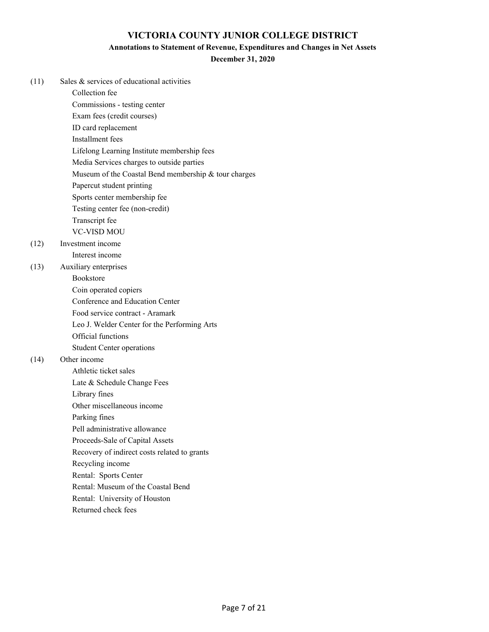#### **Annotations to Statement of Revenue, Expenditures and Changes in Net Assets**

**December 31, 2020**

| (11) | Sales & services of educational activities           |
|------|------------------------------------------------------|
|      | Collection fee                                       |
|      | Commissions - testing center                         |
|      | Exam fees (credit courses)                           |
|      | ID card replacement                                  |
|      | Installment fees                                     |
|      | Lifelong Learning Institute membership fees          |
|      | Media Services charges to outside parties            |
|      | Museum of the Coastal Bend membership & tour charges |
|      | Papercut student printing                            |
|      | Sports center membership fee                         |
|      | Testing center fee (non-credit)                      |
|      | Transcript fee                                       |
|      | <b>VC-VISD MOU</b>                                   |
| (12) | Investment income                                    |
|      | Interest income                                      |
| (13) | Auxiliary enterprises                                |
|      | <b>Bookstore</b>                                     |
|      | Coin operated copiers                                |
|      | Conference and Education Center                      |
|      | Food service contract - Aramark                      |
|      | Leo J. Welder Center for the Performing Arts         |
|      | Official functions                                   |
|      | <b>Student Center operations</b>                     |
| (14) | Other income                                         |
|      | Athletic ticket sales                                |
|      | Late & Schedule Change Fees                          |
|      | Library fines                                        |
|      | Other miscellaneous income                           |
|      | Parking fines                                        |
|      | Pell administrative allowance                        |
|      | Proceeds-Sale of Capital Assets                      |
|      | Recovery of indirect costs related to grants         |
|      | Recycling income                                     |
|      | Rental: Sports Center                                |
|      | Rental: Museum of the Coastal Bend                   |
|      | Rental: University of Houston                        |

Returned check fees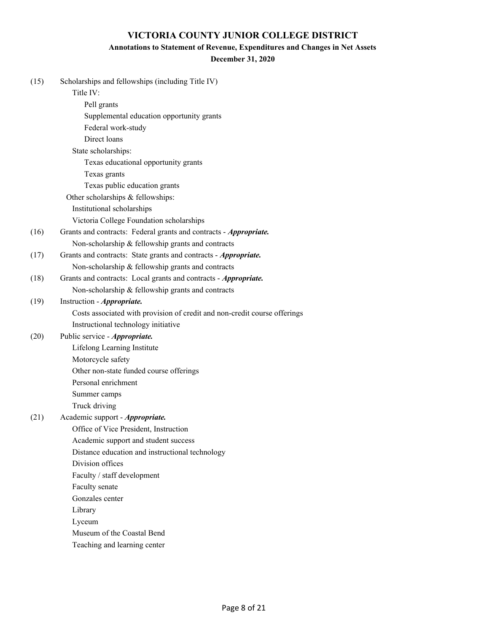#### **Annotations to Statement of Revenue, Expenditures and Changes in Net Assets**

#### **December 31, 2020**

| (15) | Scholarships and fellowships (including Title IV)                         |
|------|---------------------------------------------------------------------------|
|      | Title IV:                                                                 |
|      | Pell grants                                                               |
|      | Supplemental education opportunity grants                                 |
|      | Federal work-study                                                        |
|      | Direct loans                                                              |
|      | State scholarships:                                                       |
|      | Texas educational opportunity grants                                      |
|      | Texas grants                                                              |
|      | Texas public education grants                                             |
|      | Other scholarships & fellowships:                                         |
|      | Institutional scholarships                                                |
|      | Victoria College Foundation scholarships                                  |
| (16) | Grants and contracts: Federal grants and contracts - Appropriate.         |
|      | Non-scholarship & fellowship grants and contracts                         |
| (17) | Grants and contracts: State grants and contracts - <i>Appropriate</i> .   |
|      | Non-scholarship & fellowship grants and contracts                         |
| (18) | Grants and contracts: Local grants and contracts - Appropriate.           |
|      | Non-scholarship & fellowship grants and contracts                         |
| (19) | Instruction - Appropriate.                                                |
|      | Costs associated with provision of credit and non-credit course offerings |
|      | Instructional technology initiative                                       |
| (20) | Public service - Appropriate.                                             |
|      | Lifelong Learning Institute                                               |
|      | Motorcycle safety                                                         |
|      | Other non-state funded course offerings                                   |
|      | Personal enrichment                                                       |
|      | Summer camps                                                              |
|      | Truck driving                                                             |
| (21) | Academic support - Appropriate.                                           |
|      | Office of Vice President, Instruction                                     |
|      | Academic support and student success                                      |
|      | Distance education and instructional technology                           |
|      | Division offices                                                          |
|      | Faculty / staff development                                               |
|      | Faculty senate                                                            |
|      | Gonzales center                                                           |
|      | Library                                                                   |
|      | Lyceum                                                                    |
|      | Museum of the Coastal Bend                                                |
|      | Teaching and learning center                                              |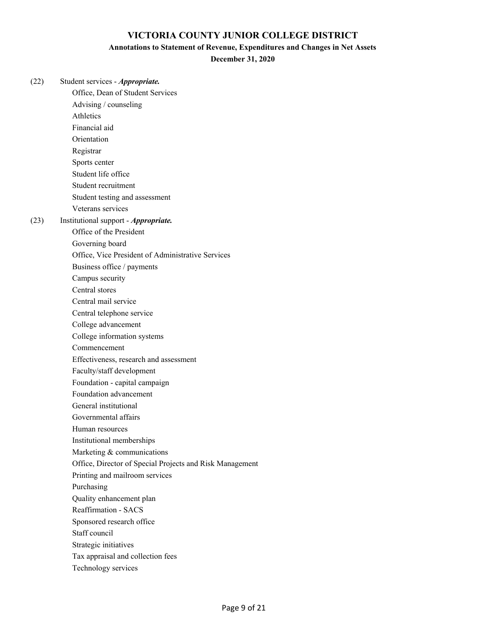#### **Annotations to Statement of Revenue, Expenditures and Changes in Net Assets**

**December 31, 2020**

(22) Student services - *Appropriate.* Office, Dean of Student Services Advising / counseling Athletics Financial aid Orientation Registrar Sports center Student life office Student recruitment Student testing and assessment Veterans services (23) Institutional support - *Appropriate.* Office of the President Governing board Office, Vice President of Administrative Services Business office / payments Campus security Central stores Central mail service Central telephone service College advancement College information systems Commencement Effectiveness, research and assessment Faculty/staff development Foundation - capital campaign Foundation advancement General institutional Governmental affairs Human resources Institutional memberships Marketing & communications Office, Director of Special Projects and Risk Management Printing and mailroom services Purchasing Quality enhancement plan Reaffirmation - SACS Sponsored research office Staff council Strategic initiatives Tax appraisal and collection fees Technology services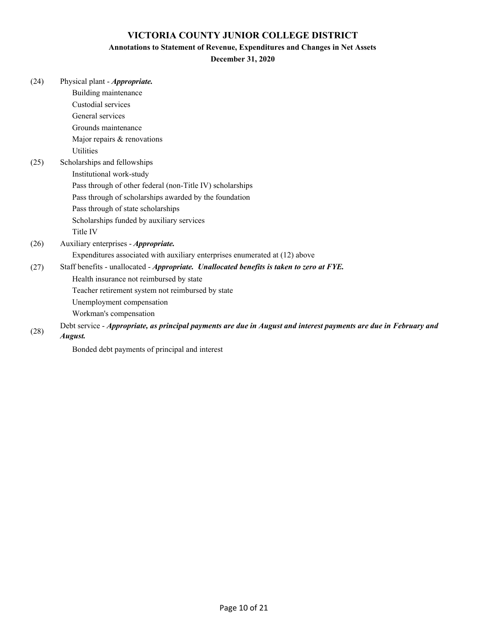#### **Annotations to Statement of Revenue, Expenditures and Changes in Net Assets**

#### **December 31, 2020**

| (24) | Physical plant - Appropriate.                                                                                     |
|------|-------------------------------------------------------------------------------------------------------------------|
|      | Building maintenance                                                                                              |
|      | Custodial services                                                                                                |
|      | General services                                                                                                  |
|      | Grounds maintenance                                                                                               |
|      | Major repairs & renovations                                                                                       |
|      | <b>Utilities</b>                                                                                                  |
| (25) | Scholarships and fellowships                                                                                      |
|      | Institutional work-study                                                                                          |
|      | Pass through of other federal (non-Title IV) scholarships                                                         |
|      | Pass through of scholarships awarded by the foundation                                                            |
|      | Pass through of state scholarships                                                                                |
|      | Scholarships funded by auxiliary services                                                                         |
|      | Title IV                                                                                                          |
| (26) | Auxiliary enterprises - <i>Appropriate</i> .                                                                      |
|      | Expenditures associated with auxiliary enterprises enumerated at (12) above                                       |
| (27) | Staff benefits - unallocated - Appropriate. Unallocated benefits is taken to zero at FYE.                         |
|      | Health insurance not reimbursed by state                                                                          |
|      | Teacher retirement system not reimbursed by state                                                                 |
|      | Unemployment compensation                                                                                         |
|      | Workman's compensation                                                                                            |
|      | Debt service - Appropriate, as principal payments are due in August and interest payments are due in February and |
| (28) |                                                                                                                   |

(28) *August.*

Bonded debt payments of principal and interest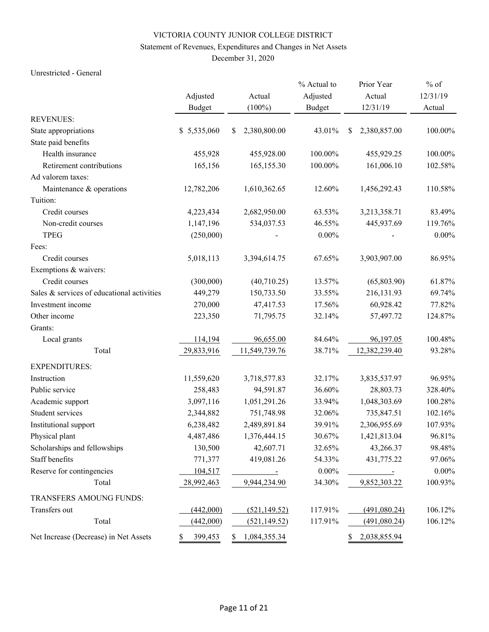#### Statement of Revenues, Expenditures and Changes in Net Assets

December 31, 2020

#### Unrestricted - General

|                                            |               |                      | % Actual to   | Prior Year                | $%$ of   |
|--------------------------------------------|---------------|----------------------|---------------|---------------------------|----------|
|                                            | Adjusted      | Actual               | Adjusted      | Actual                    | 12/31/19 |
|                                            | <b>Budget</b> | $(100\%)$            | <b>Budget</b> | 12/31/19                  | Actual   |
| <b>REVENUES:</b>                           |               |                      |               |                           |          |
| State appropriations                       | \$5,535,060   | 2,380,800.00<br>\$   | 43.01%        | \$<br>2,380,857.00        | 100.00%  |
| State paid benefits                        |               |                      |               |                           |          |
| Health insurance                           | 455,928       | 455,928.00           | 100.00%       | 455,929.25                | 100.00%  |
| Retirement contributions                   | 165,156       | 165,155.30           | 100.00%       | 161,006.10                | 102.58%  |
| Ad valorem taxes:                          |               |                      |               |                           |          |
| Maintenance & operations                   | 12,782,206    | 1,610,362.65         | 12.60%        | 1,456,292.43              | 110.58%  |
| Tuition:                                   |               |                      |               |                           |          |
| Credit courses                             | 4,223,434     | 2,682,950.00         | 63.53%        | 3,213,358.71              | 83.49%   |
| Non-credit courses                         | 1,147,196     | 534,037.53           | 46.55%        | 445,937.69                | 119.76%  |
| <b>TPEG</b>                                | (250,000)     |                      | $0.00\%$      |                           | $0.00\%$ |
| Fees:                                      |               |                      |               |                           |          |
| Credit courses                             | 5,018,113     | 3,394,614.75         | 67.65%        | 3,903,907.00              | 86.95%   |
| Exemptions & waivers:                      |               |                      |               |                           |          |
| Credit courses                             | (300,000)     | (40,710.25)          | 13.57%        | (65,803.90)               | 61.87%   |
| Sales & services of educational activities | 449,279       | 150,733.50           | 33.55%        | 216,131.93                | 69.74%   |
| Investment income                          | 270,000       | 47,417.53            | 17.56%        | 60,928.42                 | 77.82%   |
| Other income                               | 223,350       | 71,795.75            | 32.14%        | 57,497.72                 | 124.87%  |
| Grants:                                    |               |                      |               |                           |          |
| Local grants                               | 114,194       | 96,655.00            | 84.64%        | 96,197.05                 | 100.48%  |
| Total                                      | 29,833,916    | 11,549,739.76        | 38.71%        | 12,382,239.40             | 93.28%   |
| <b>EXPENDITURES:</b>                       |               |                      |               |                           |          |
| Instruction                                | 11,559,620    | 3,718,577.83         | 32.17%        | 3,835,537.97              | 96.95%   |
| Public service                             | 258,483       | 94,591.87            | 36.60%        | 28,803.73                 | 328.40%  |
| Academic support                           | 3,097,116     | 1,051,291.26         | 33.94%        | 1,048,303.69              | 100.28%  |
| Student services                           | 2,344,882     | 751,748.98           | 32.06%        | 735,847.51                | 102.16%  |
| Institutional support                      | 6,238,482     | 2,489,891.84         | 39.91%        | 2,306,955.69              | 107.93%  |
| Physical plant                             | 4,487,486     | 1,376,444.15         | 30.67%        | 1,421,813.04              | 96.81%   |
| Scholarships and fellowships               | 130,500       | 42,607.71            | 32.65%        | 43,266.37                 | 98.48%   |
| Staff benefits                             | 771,377       | 419,081.26           | 54.33%        | 431,775.22                | 97.06%   |
| Reserve for contingencies                  | 104,517       | $\sim$ $\sim$ $\sim$ | $0.00\%$      | $\sim 10^{-10}$ m $^{-1}$ | $0.00\%$ |
| Total                                      | 28,992,463    | 9,944,234.90         | 34.30%        | 9,852,303.22              | 100.93%  |
| TRANSFERS AMOUNG FUNDS:                    |               |                      |               |                           |          |
| Transfers out                              | (442,000)     | (521, 149.52)        | 117.91%       | (491,080.24)              | 106.12%  |
| Total                                      | (442,000)     | (521, 149.52)        | 117.91%       | (491,080.24)              | 106.12%  |
| Net Increase (Decrease) in Net Assets      | 399,453<br>S  | 1,084,355.34<br>\$   |               | 2,038,855.94<br>\$        |          |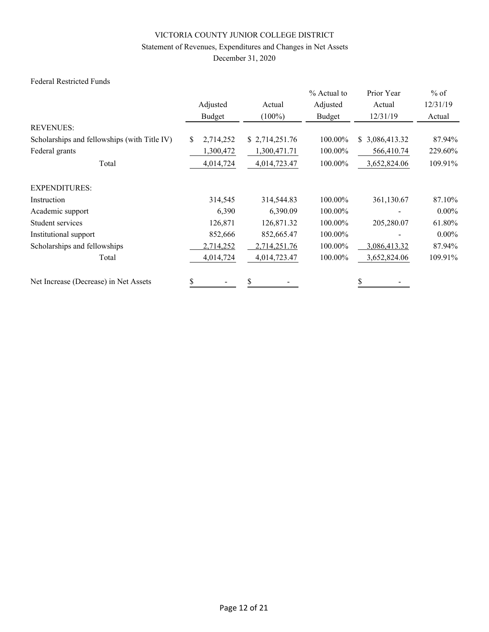### Statement of Revenues, Expenditures and Changes in Net Assets

December 31, 2020

#### Federal Restricted Funds

|                                              |                 |                | % Actual to | Prior Year      | $%$ of   |
|----------------------------------------------|-----------------|----------------|-------------|-----------------|----------|
|                                              | Adjusted        | Actual         | Adjusted    | Actual          | 12/31/19 |
|                                              | Budget          | $(100\%)$      | Budget      | 12/31/19        | Actual   |
| <b>REVENUES:</b>                             |                 |                |             |                 |          |
| Scholarships and fellowships (with Title IV) | 2,714,252<br>S. | \$2,714,251.76 | 100.00%     | \$ 3,086,413.32 | 87.94%   |
| Federal grants                               | 1,300,472       | 1,300,471.71   | 100.00%     | 566,410.74      | 229.60%  |
| Total                                        | 4,014,724       | 4,014,723.47   | 100.00%     | 3,652,824.06    | 109.91%  |
| <b>EXPENDITURES:</b>                         |                 |                |             |                 |          |
| Instruction                                  | 314,545         | 314,544.83     | 100.00%     | 361,130.67      | 87.10%   |
| Academic support                             | 6,390           | 6,390.09       | 100.00%     |                 | $0.00\%$ |
| Student services                             | 126,871         | 126,871.32     | 100.00%     | 205,280.07      | 61.80%   |
| Institutional support                        | 852,666         | 852,665.47     | 100.00%     |                 | $0.00\%$ |
| Scholarships and fellowships                 | 2,714,252       | 2,714,251.76   | 100.00%     | 3,086,413.32    | 87.94%   |
| Total                                        | 4,014,724       | 4,014,723.47   | 100.00%     | 3,652,824.06    | 109.91%  |
| Net Increase (Decrease) in Net Assets        | \$              | \$             |             |                 |          |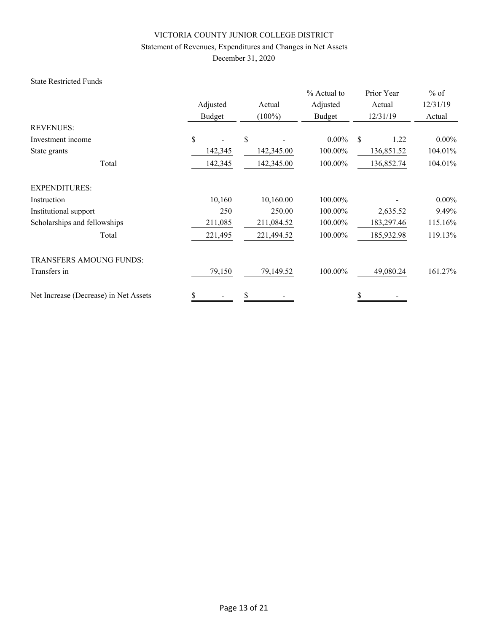#### Statement of Revenues, Expenditures and Changes in Net Assets

December 31, 2020

#### State Restricted Funds

|                                       |          |            | % Actual to | Prior Year | $%$ of   |
|---------------------------------------|----------|------------|-------------|------------|----------|
|                                       | Adjusted | Actual     | Adjusted    | Actual     | 12/31/19 |
|                                       | Budget   | $(100\%)$  | Budget      | 12/31/19   | Actual   |
| <b>REVENUES:</b>                      |          |            |             |            |          |
| Investment income                     | \$       | \$         | $0.00\%$    | \$<br>1.22 | $0.00\%$ |
| State grants                          | 142,345  | 142,345.00 | 100.00%     | 136,851.52 | 104.01%  |
| Total                                 | 142,345  | 142,345.00 | 100.00%     | 136,852.74 | 104.01%  |
| <b>EXPENDITURES:</b>                  |          |            |             |            |          |
| Instruction                           | 10,160   | 10,160.00  | 100.00%     |            | $0.00\%$ |
| Institutional support                 | 250      | 250.00     | 100.00%     | 2,635.52   | 9.49%    |
| Scholarships and fellowships          | 211,085  | 211,084.52 | 100.00%     | 183,297.46 | 115.16%  |
| Total                                 | 221,495  | 221,494.52 | 100.00%     | 185,932.98 | 119.13%  |
| <b>TRANSFERS AMOUNG FUNDS:</b>        |          |            |             |            |          |
| Transfers in                          | 79,150   | 79,149.52  | 100.00%     | 49,080.24  | 161.27%  |
| Net Increase (Decrease) in Net Assets | \$       | \$         |             | \$         |          |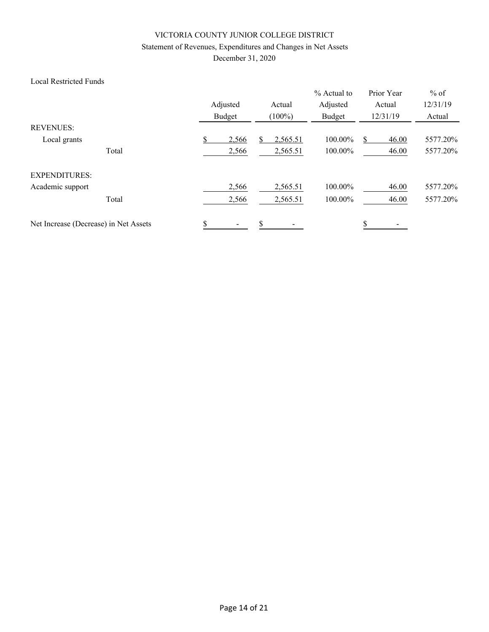### Statement of Revenues, Expenditures and Changes in Net Assets

December 31, 2020

#### Local Restricted Funds

|                                       | Adjusted<br>Budget | Actual<br>$(100\%)$ | % Actual to<br>Adjusted<br>Budget | Prior Year<br>Actual<br>12/31/19 | $%$ of<br>12/31/19<br>Actual |
|---------------------------------------|--------------------|---------------------|-----------------------------------|----------------------------------|------------------------------|
| <b>REVENUES:</b>                      |                    |                     |                                   |                                  |                              |
| Local grants                          | 2,566              | 2,565.51            | 100.00%                           | 46.00                            | 5577.20%                     |
| Total                                 | 2,566              | 2,565.51            | 100.00%                           | 46.00                            | 5577.20%                     |
| <b>EXPENDITURES:</b>                  |                    |                     |                                   |                                  |                              |
| Academic support                      | 2,566              | 2,565.51            | 100.00%                           | 46.00                            | 5577.20%                     |
| Total                                 | 2,566              | 2,565.51            | 100.00%                           | 46.00                            | 5577.20%                     |
| Net Increase (Decrease) in Net Assets | \$                 | \$                  |                                   | \$                               |                              |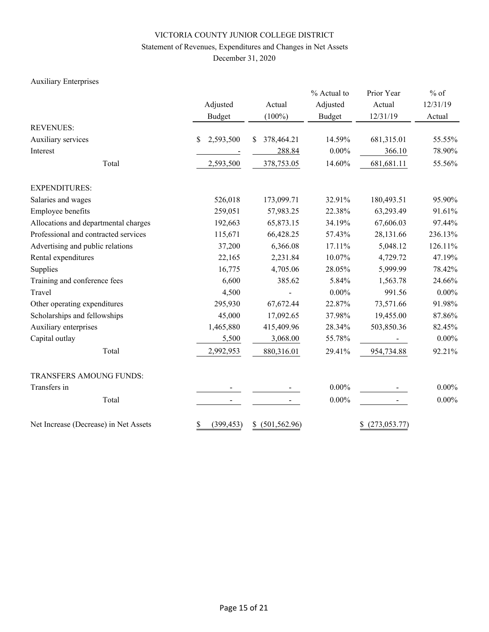### Statement of Revenues, Expenditures and Changes in Net Assets

December 31, 2020

### Auxiliary Enterprises

|                                       |                  |                  | % Actual to   | Prior Year          | $%$ of             |  |
|---------------------------------------|------------------|------------------|---------------|---------------------|--------------------|--|
|                                       | Adjusted         | Actual           | Adjusted      | Actual              | 12/31/19<br>Actual |  |
|                                       | <b>Budget</b>    | $(100\%)$        | <b>Budget</b> | 12/31/19            |                    |  |
| <b>REVENUES:</b>                      |                  |                  |               |                     |                    |  |
| Auxiliary services                    | 2,593,500<br>\$  | 378,464.21<br>S. | 14.59%        | 681,315.01          | 55.55%             |  |
| Interest                              |                  | 288.84           | $0.00\%$      | 366.10              | 78.90%             |  |
| Total                                 | 2,593,500        | 378,753.05       | 14.60%        | 681,681.11          | 55.56%             |  |
| <b>EXPENDITURES:</b>                  |                  |                  |               |                     |                    |  |
| Salaries and wages                    | 526,018          | 173,099.71       | 32.91%        | 180,493.51          | 95.90%             |  |
| Employee benefits                     | 259,051          | 57,983.25        | 22.38%        | 63,293.49           | 91.61%             |  |
| Allocations and departmental charges  | 192,663          | 65,873.15        | 34.19%        | 67,606.03           | 97.44%             |  |
| Professional and contracted services  | 115,671          | 66,428.25        | 57.43%        | 28,131.66           | 236.13%            |  |
| Advertising and public relations      | 37,200           | 6,366.08         | 17.11%        | 5,048.12            | 126.11%            |  |
| Rental expenditures                   | 22,165           | 2,231.84         | 10.07%        | 4,729.72            | 47.19%             |  |
| Supplies                              | 16,775           | 4,705.06         | 28.05%        | 5,999.99            | 78.42%             |  |
| Training and conference fees          | 6,600            | 385.62           | 5.84%         | 1,563.78            | 24.66%             |  |
| Travel                                | 4,500            |                  | $0.00\%$      | 991.56              | $0.00\%$           |  |
| Other operating expenditures          | 295,930          | 67,672.44        | 22.87%        | 73,571.66           | 91.98%             |  |
| Scholarships and fellowships          | 45,000           | 17,092.65        | 37.98%        | 19,455.00           | 87.86%             |  |
| Auxiliary enterprises                 | 1,465,880        | 415,409.96       | 28.34%        | 503,850.36          | 82.45%             |  |
| Capital outlay                        | 5,500            | 3,068.00         | 55.78%        |                     | $0.00\%$           |  |
| Total                                 | 2,992,953        | 880,316.01       | 29.41%        | 954,734.88          | 92.21%             |  |
| TRANSFERS AMOUNG FUNDS:               |                  |                  |               |                     |                    |  |
| Transfers in                          |                  |                  | $0.00\%$      |                     | $0.00\%$           |  |
| Total                                 |                  |                  | $0.00\%$      |                     | $0.00\%$           |  |
| Net Increase (Decrease) in Net Assets | \$<br>(399, 453) | \$ (501, 562.96) |               | (273, 053.77)<br>\$ |                    |  |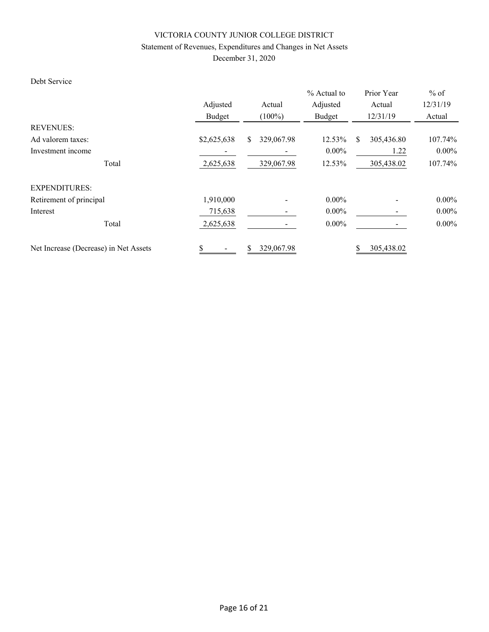# Statement of Revenues, Expenditures and Changes in Net Assets

December 31, 2020

### Debt Service

|                                       |                                |                  | $%$ Actual to | Prior Year      | $%$ of   |  |
|---------------------------------------|--------------------------------|------------------|---------------|-----------------|----------|--|
|                                       | Adjusted                       | Actual           | Adjusted      | Actual          | 12/31/19 |  |
|                                       | Budget                         | $(100\%)$        | Budget        | 12/31/19        | Actual   |  |
| <b>REVENUES:</b>                      |                                |                  |               |                 |          |  |
| Ad valorem taxes:                     | \$2,625,638                    | 329,067.98<br>\$ | 12.53%        | 305,436.80<br>S | 107.74%  |  |
| Investment income                     |                                |                  | $0.00\%$      | 1.22            | $0.00\%$ |  |
| Total                                 | 2,625,638                      | 329,067.98       | 12.53%        | 305,438.02      | 107.74%  |  |
| <b>EXPENDITURES:</b>                  |                                |                  |               |                 |          |  |
| Retirement of principal               | 1,910,000                      |                  | $0.00\%$      |                 | $0.00\%$ |  |
| Interest                              | 715,638                        | ۰.               | $0.00\%$      |                 | $0.00\%$ |  |
| Total                                 | 2,625,638                      |                  | $0.00\%$      |                 | $0.00\%$ |  |
| Net Increase (Decrease) in Net Assets | \$<br>$\overline{\phantom{0}}$ | 329,067.98<br>\$ |               | 305,438.02<br>S |          |  |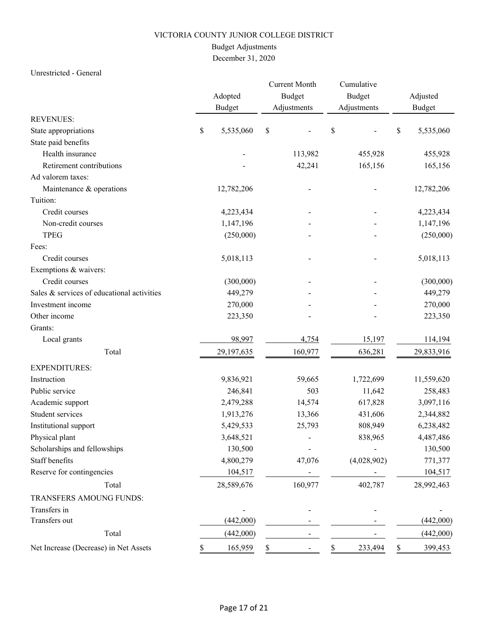# Budget Adjustments

December 31, 2020

#### Unrestricted - General

|                                            | Adopted<br><b>Budget</b> | <b>Current Month</b><br><b>Budget</b><br>Adjustments |         |    | Cumulative<br><b>Budget</b><br>Adjustments |    | Adjusted<br><b>Budget</b> |
|--------------------------------------------|--------------------------|------------------------------------------------------|---------|----|--------------------------------------------|----|---------------------------|
| <b>REVENUES:</b>                           |                          |                                                      |         |    |                                            |    |                           |
| State appropriations                       | \$<br>5,535,060          | \$                                                   |         | \$ |                                            | \$ | 5,535,060                 |
| State paid benefits                        |                          |                                                      |         |    |                                            |    |                           |
| Health insurance                           |                          |                                                      | 113,982 |    | 455,928                                    |    | 455,928                   |
| Retirement contributions                   |                          |                                                      | 42,241  |    | 165,156                                    |    | 165,156                   |
| Ad valorem taxes:                          |                          |                                                      |         |    |                                            |    |                           |
| Maintenance & operations                   | 12,782,206               |                                                      |         |    |                                            |    | 12,782,206                |
| Tuition:                                   |                          |                                                      |         |    |                                            |    |                           |
| Credit courses                             | 4,223,434                |                                                      |         |    |                                            |    | 4,223,434                 |
| Non-credit courses                         | 1,147,196                |                                                      |         |    |                                            |    | 1,147,196                 |
| <b>TPEG</b>                                | (250,000)                |                                                      |         |    |                                            |    | (250,000)                 |
| Fees:                                      |                          |                                                      |         |    |                                            |    |                           |
| Credit courses                             | 5,018,113                |                                                      |         |    |                                            |    | 5,018,113                 |
| Exemptions & waivers:                      |                          |                                                      |         |    |                                            |    |                           |
| Credit courses                             | (300,000)                |                                                      |         |    |                                            |    | (300,000)                 |
| Sales & services of educational activities | 449,279                  |                                                      |         |    |                                            |    | 449,279                   |
| Investment income                          | 270,000                  |                                                      |         |    |                                            |    | 270,000                   |
| Other income                               | 223,350                  |                                                      |         |    |                                            |    | 223,350                   |
| Grants:                                    |                          |                                                      |         |    |                                            |    |                           |
| Local grants                               | 98,997                   |                                                      | 4,754   |    | 15,197                                     |    | 114,194                   |
| Total                                      | 29,197,635               |                                                      | 160,977 |    | 636,281                                    |    | 29,833,916                |
| <b>EXPENDITURES:</b>                       |                          |                                                      |         |    |                                            |    |                           |
| Instruction                                | 9,836,921                |                                                      | 59,665  |    | 1,722,699                                  |    | 11,559,620                |
| Public service                             | 246,841                  |                                                      | 503     |    | 11,642                                     |    | 258,483                   |
| Academic support                           | 2,479,288                |                                                      | 14,574  |    | 617,828                                    |    | 3,097,116                 |
| Student services                           | 1,913,276                |                                                      | 13,366  |    | 431,606                                    |    | 2,344,882                 |
| Institutional support                      | 5,429,533                |                                                      | 25,793  |    | 808,949                                    |    | 6,238,482                 |
| Physical plant                             | 3,648,521                |                                                      |         |    | 838,965                                    |    | 4,487,486                 |
| Scholarships and fellowships               | 130,500                  |                                                      |         |    |                                            |    | 130,500                   |
| Staff benefits                             | 4,800,279                |                                                      | 47,076  |    | (4,028,902)                                |    | 771,377                   |
| Reserve for contingencies                  | 104,517                  |                                                      |         |    |                                            |    | 104,517                   |
| Total                                      | 28,589,676               |                                                      | 160,977 |    | 402,787                                    |    | 28,992,463                |
| TRANSFERS AMOUNG FUNDS:                    |                          |                                                      |         |    |                                            |    |                           |
| Transfers in                               |                          |                                                      |         |    |                                            |    |                           |
| Transfers out                              | (442,000)                |                                                      |         |    |                                            |    | (442,000)                 |
| Total                                      | (442,000)                |                                                      |         |    |                                            |    | (442,000)                 |
| Net Increase (Decrease) in Net Assets      | 165,959                  | S                                                    |         | S. | 233,494                                    | S. | 399,453                   |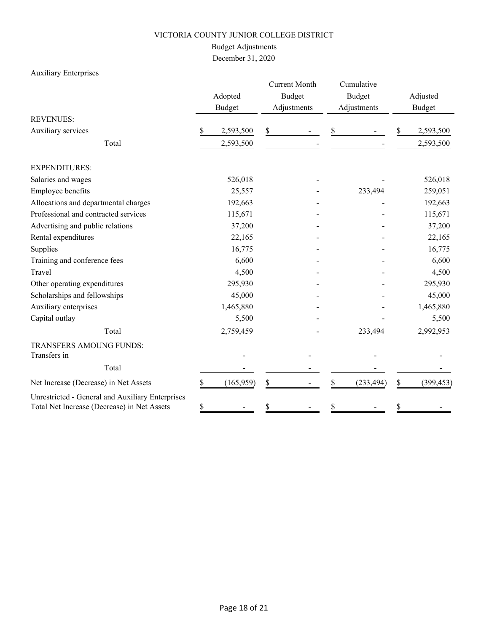### Budget Adjustments

December 31, 2020

# Auxiliary Enterprises

|                                                                                                 |         |               | <b>Current Month</b> |               |    | Cumulative    |               |            |  |
|-------------------------------------------------------------------------------------------------|---------|---------------|----------------------|---------------|----|---------------|---------------|------------|--|
|                                                                                                 | Adopted |               |                      | <b>Budget</b> |    | <b>Budget</b> | Adjusted      |            |  |
|                                                                                                 |         | <b>Budget</b> |                      | Adjustments   |    | Adjustments   | <b>Budget</b> |            |  |
| <b>REVENUES:</b>                                                                                |         |               |                      |               |    |               |               |            |  |
| Auxiliary services                                                                              | \$      | 2,593,500     | \$                   |               | \$ |               | \$            | 2,593,500  |  |
| Total                                                                                           |         | 2,593,500     |                      |               |    |               |               | 2,593,500  |  |
| <b>EXPENDITURES:</b>                                                                            |         |               |                      |               |    |               |               |            |  |
| Salaries and wages                                                                              |         | 526,018       |                      |               |    |               |               | 526,018    |  |
| Employee benefits                                                                               |         | 25,557        |                      |               |    | 233,494       |               | 259,051    |  |
| Allocations and departmental charges                                                            |         | 192,663       |                      |               |    |               |               | 192,663    |  |
| Professional and contracted services                                                            |         | 115,671       |                      |               |    |               |               | 115,671    |  |
| Advertising and public relations                                                                |         | 37,200        |                      |               |    |               |               | 37,200     |  |
| Rental expenditures                                                                             |         | 22,165        |                      |               |    |               |               | 22,165     |  |
| Supplies                                                                                        |         | 16,775        |                      |               |    |               |               | 16,775     |  |
| Training and conference fees                                                                    |         | 6,600         |                      |               |    |               |               | 6,600      |  |
| Travel                                                                                          |         | 4,500         |                      |               |    |               |               | 4,500      |  |
| Other operating expenditures                                                                    |         | 295,930       |                      |               |    |               |               | 295,930    |  |
| Scholarships and fellowships                                                                    |         | 45,000        |                      |               |    |               |               | 45,000     |  |
| Auxiliary enterprises                                                                           |         | 1,465,880     |                      |               |    |               |               | 1,465,880  |  |
| Capital outlay                                                                                  |         | 5,500         |                      |               |    |               |               | 5,500      |  |
| Total                                                                                           |         | 2,759,459     |                      |               |    | 233,494       |               | 2,992,953  |  |
| TRANSFERS AMOUNG FUNDS:                                                                         |         |               |                      |               |    |               |               |            |  |
| Transfers in                                                                                    |         |               |                      |               |    |               |               |            |  |
| Total                                                                                           |         |               |                      |               |    |               |               |            |  |
| Net Increase (Decrease) in Net Assets                                                           | \$      | (165, 959)    | \$                   |               | \$ | (233, 494)    | \$            | (399, 453) |  |
| Unrestricted - General and Auxiliary Enterprises<br>Total Net Increase (Decrease) in Net Assets | \$      |               | \$                   |               | \$ |               | \$            |            |  |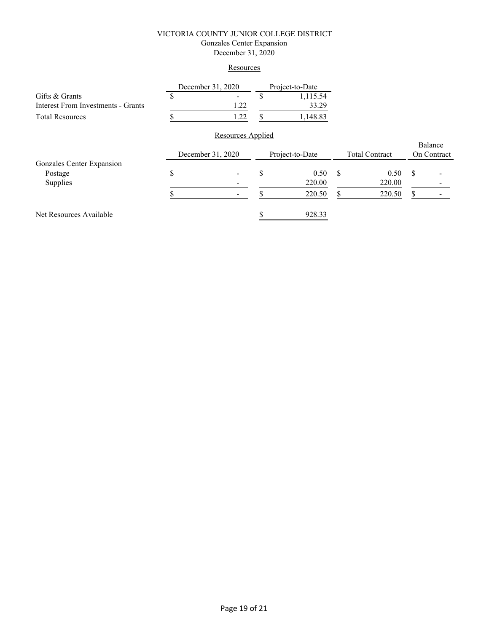#### VICTORIA COUNTY JUNIOR COLLEGE DISTRICT Gonzales Center Expansion December 31, 2020

#### **Resources**

|                                    | December 31, 2020 | Project-to-Date |          |  |
|------------------------------------|-------------------|-----------------|----------|--|
| Gifts & Grants                     |                   |                 | 1.115.54 |  |
| Interest From Investments - Grants |                   |                 | 33.29    |  |
| <b>Total Resources</b>             |                   |                 | .148.83  |  |

#### Resources Applied

|                           | December 31, 2020                | Project-to-Date | <b>Total Contract</b> |        | Balance<br>On Contract |  |
|---------------------------|----------------------------------|-----------------|-----------------------|--------|------------------------|--|
| Gonzales Center Expansion |                                  | 0.50            |                       | 0.50   | <sup>\$</sup>          |  |
| Postage<br>Supplies       | $\overline{\phantom{a}}$<br>$\,$ | 220.00          | Ж,                    | 220.00 |                        |  |
|                           | $\overline{\phantom{a}}$         | 220.50          |                       | 220.50 |                        |  |
| Net Resources Available   |                                  | 928.33          |                       |        |                        |  |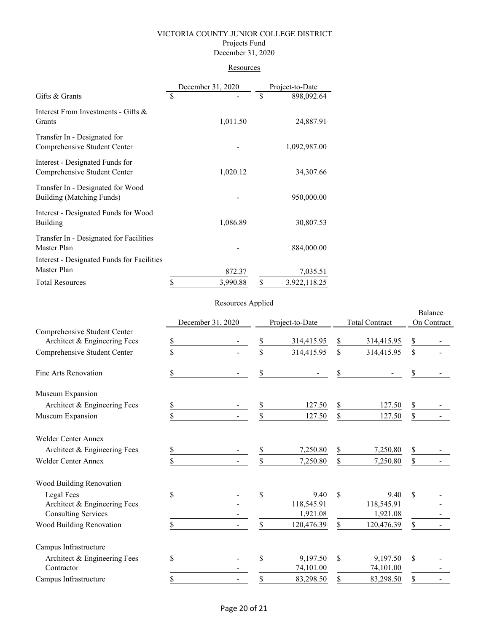#### VICTORIA COUNTY JUNIOR COLLEGE DISTRICT Projects Fund December 31, 2020

#### **Resources**

|                                                                 |               | December 31, 2020 | Project-to-Date |              |  |
|-----------------------------------------------------------------|---------------|-------------------|-----------------|--------------|--|
| Gifts & Grants                                                  | <sup>\$</sup> |                   | \$              | 898,092.64   |  |
| Interest From Investments - Gifts &<br>Grants                   |               | 1,011.50          |                 | 24,887.91    |  |
| Transfer In - Designated for<br>Comprehensive Student Center    |               |                   |                 | 1,092,987.00 |  |
| Interest - Designated Funds for<br>Comprehensive Student Center |               | 1,020.12          |                 | 34,307.66    |  |
| Transfer In - Designated for Wood<br>Building (Matching Funds)  |               |                   |                 | 950,000.00   |  |
| Interest - Designated Funds for Wood<br>Building                |               | 1,086.89          |                 | 30,807.53    |  |
| Transfer In - Designated for Facilities<br>Master Plan          |               |                   |                 | 884,000.00   |  |
| Interest - Designated Funds for Facilities<br>Master Plan       |               | 872.37            |                 | 7,035.51     |  |
| <b>Total Resources</b>                                          | \$            | 3,990.88          | \$              | 3,922,118.25 |  |

### Resources Applied

|                                                              |    |                   |               | Balance         |                       |             |  |
|--------------------------------------------------------------|----|-------------------|---------------|-----------------|-----------------------|-------------|--|
|                                                              |    | December 31, 2020 |               | Project-to-Date | <b>Total Contract</b> | On Contract |  |
| Comprehensive Student Center<br>Architect & Engineering Fees | S  |                   | \$            | 314,415.95      | \$<br>314,415.95      | \$          |  |
| Comprehensive Student Center                                 | \$ |                   | \$            | 314,415.95      | \$<br>314,415.95      | \$          |  |
| Fine Arts Renovation                                         | \$ |                   | \$            |                 | \$                    | \$          |  |
| Museum Expansion                                             |    |                   |               |                 |                       |             |  |
| Architect & Engineering Fees                                 | \$ |                   | \$            | 127.50          | \$<br>127.50          | \$          |  |
| Museum Expansion                                             | \$ |                   | \$            | 127.50          | \$<br>127.50          | \$          |  |
| <b>Welder Center Annex</b>                                   |    |                   |               |                 |                       |             |  |
| Architect & Engineering Fees                                 | \$ |                   | $\frac{1}{2}$ | 7,250.80        | \$<br>7,250.80        | \$          |  |
| <b>Welder Center Annex</b>                                   | \$ |                   | \$            | 7,250.80        | \$<br>7,250.80        | \$          |  |
| Wood Building Renovation                                     |    |                   |               |                 |                       |             |  |
| Legal Fees                                                   | \$ |                   | S             | 9.40            | \$<br>9.40            | \$          |  |
| Architect & Engineering Fees                                 |    |                   |               | 118,545.91      | 118,545.91            |             |  |
| <b>Consulting Services</b>                                   |    |                   |               | 1,921.08        | 1,921.08              |             |  |
| Wood Building Renovation                                     | S  |                   | \$            | 120,476.39      | \$<br>120,476.39      | \$          |  |
| Campus Infrastructure                                        |    |                   |               |                 |                       |             |  |
| Architect & Engineering Fees                                 | \$ |                   | \$            | 9,197.50        | \$<br>9,197.50        | \$          |  |
| Contractor                                                   |    |                   |               | 74,101.00       | 74,101.00             |             |  |
| Campus Infrastructure                                        | \$ |                   | \$            | 83,298.50       | \$<br>83,298.50       | \$          |  |